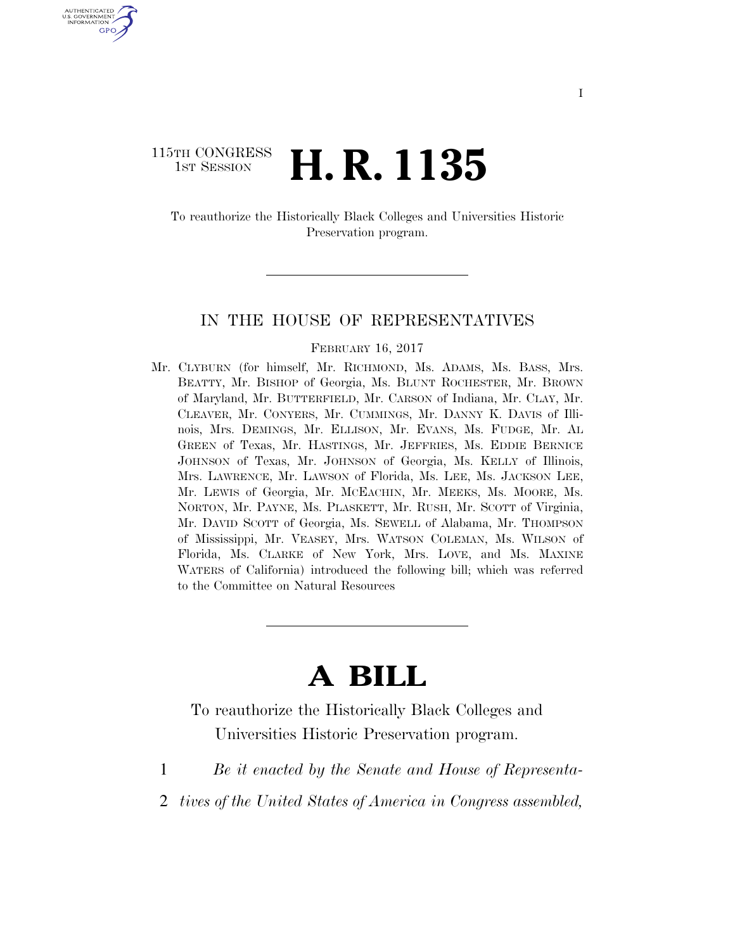### 115TH CONGRESS <sup>TH CONGRESS</sup> **H. R. 1135**

U.S. GOVERNMENT GPO

> To reauthorize the Historically Black Colleges and Universities Historic Preservation program.

#### IN THE HOUSE OF REPRESENTATIVES

#### FEBRUARY 16, 2017

Mr. CLYBURN (for himself, Mr. RICHMOND, Ms. ADAMS, Ms. BASS, Mrs. BEATTY, Mr. BISHOP of Georgia, Ms. BLUNT ROCHESTER, Mr. BROWN of Maryland, Mr. BUTTERFIELD, Mr. CARSON of Indiana, Mr. CLAY, Mr. CLEAVER, Mr. CONYERS, Mr. CUMMINGS, Mr. DANNY K. DAVIS of Illinois, Mrs. DEMINGS, Mr. ELLISON, Mr. EVANS, Ms. FUDGE, Mr. AL GREEN of Texas, Mr. HASTINGS, Mr. JEFFRIES, Ms. EDDIE BERNICE JOHNSON of Texas, Mr. JOHNSON of Georgia, Ms. KELLY of Illinois, Mrs. LAWRENCE, Mr. LAWSON of Florida, Ms. LEE, Ms. JACKSON LEE, Mr. LEWIS of Georgia, Mr. MCEACHIN, Mr. MEEKS, Ms. MOORE, Ms. NORTON, Mr. PAYNE, Ms. PLASKETT, Mr. RUSH, Mr. SCOTT of Virginia, Mr. DAVID SCOTT of Georgia, Ms. SEWELL of Alabama, Mr. THOMPSON of Mississippi, Mr. VEASEY, Mrs. WATSON COLEMAN, Ms. WILSON of Florida, Ms. CLARKE of New York, Mrs. LOVE, and Ms. MAXINE WATERS of California) introduced the following bill; which was referred to the Committee on Natural Resources

# **A BILL**

To reauthorize the Historically Black Colleges and Universities Historic Preservation program.

- 1 *Be it enacted by the Senate and House of Representa-*
- 2 *tives of the United States of America in Congress assembled,*